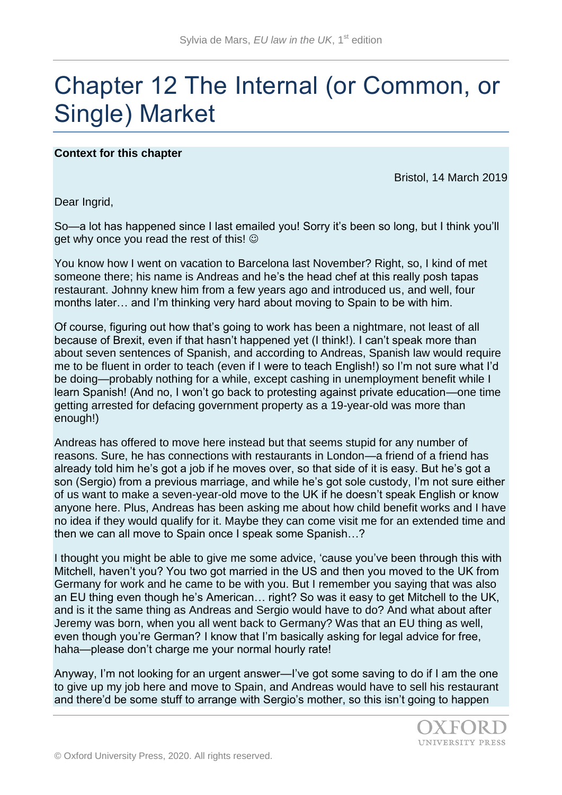# Chapter 12 The Internal (or Common, or Single) Market

## **Context for this chapter**

Bristol, 14 March 2019

Dear Ingrid,

So—a lot has happened since I last emailed you! Sorry it's been so long, but I think you'll get why once you read the rest of this!  $\odot$ 

You know how I went on vacation to Barcelona last November? Right, so, I kind of met someone there; his name is Andreas and he's the head chef at this really posh tapas restaurant. Johnny knew him from a few years ago and introduced us, and well, four months later… and I'm thinking very hard about moving to Spain to be with him.

Of course, figuring out how that's going to work has been a nightmare, not least of all because of Brexit, even if that hasn't happened yet (I think!). I can't speak more than about seven sentences of Spanish, and according to Andreas, Spanish law would require me to be fluent in order to teach (even if I were to teach English!) so I'm not sure what I'd be doing—probably nothing for a while, except cashing in unemployment benefit while I learn Spanish! (And no, I won't go back to protesting against private education—one time getting arrested for defacing government property as a 19-year-old was more than enough!)

Andreas has offered to move here instead but that seems stupid for any number of reasons. Sure, he has connections with restaurants in London—a friend of a friend has already told him he's got a job if he moves over, so that side of it is easy. But he's got a son (Sergio) from a previous marriage, and while he's got sole custody, I'm not sure either of us want to make a seven-year-old move to the UK if he doesn't speak English or know anyone here. Plus, Andreas has been asking me about how child benefit works and I have no idea if they would qualify for it. Maybe they can come visit me for an extended time and then we can all move to Spain once I speak some Spanish…?

I thought you might be able to give me some advice, 'cause you've been through this with Mitchell, haven't you? You two got married in the US and then you moved to the UK from Germany for work and he came to be with you. But I remember you saying that was also an EU thing even though he's American… right? So was it easy to get Mitchell to the UK, and is it the same thing as Andreas and Sergio would have to do? And what about after Jeremy was born, when you all went back to Germany? Was that an EU thing as well, even though you're German? I know that I'm basically asking for legal advice for free, haha—please don't charge me your normal hourly rate!

Anyway, I'm not looking for an urgent answer—I've got some saving to do if I am the one to give up my job here and move to Spain, and Andreas would have to sell his restaurant and there'd be some stuff to arrange with Sergio's mother, so this isn't going to happen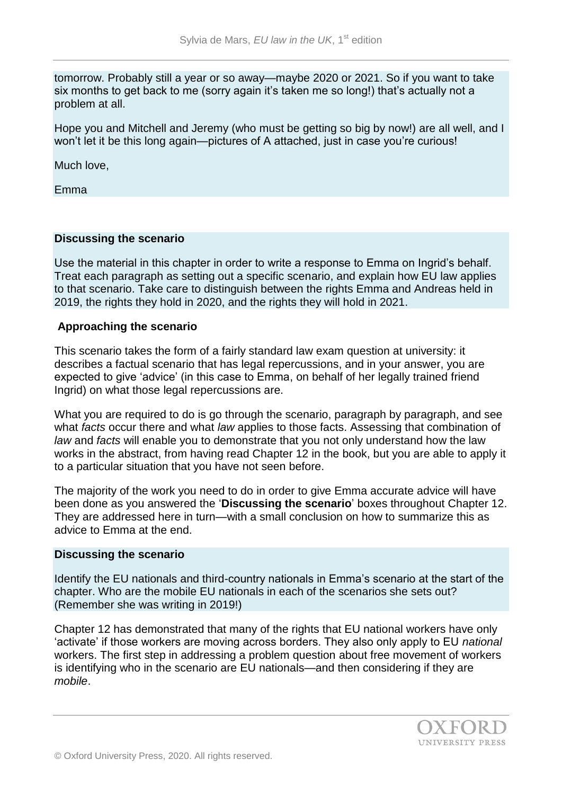tomorrow. Probably still a year or so away—maybe 2020 or 2021. So if you want to take six months to get back to me (sorry again it's taken me so long!) that's actually not a problem at all.

Hope you and Mitchell and Jeremy (who must be getting so big by now!) are all well, and I won't let it be this long again—pictures of A attached, just in case you're curious!

Much love,

Emma

#### **Discussing the scenario**

Use the material in this chapter in order to write a response to Emma on Ingrid's behalf. Treat each paragraph as setting out a specific scenario, and explain how EU law applies to that scenario. Take care to distinguish between the rights Emma and Andreas held in 2019, the rights they hold in 2020, and the rights they will hold in 2021.

#### **Approaching the scenario**

This scenario takes the form of a fairly standard law exam question at university: it describes a factual scenario that has legal repercussions, and in your answer, you are expected to give 'advice' (in this case to Emma, on behalf of her legally trained friend Ingrid) on what those legal repercussions are.

What you are required to do is go through the scenario, paragraph by paragraph, and see what *facts* occur there and what *law* applies to those facts. Assessing that combination of *law* and *facts* will enable you to demonstrate that you not only understand how the law works in the abstract, from having read Chapter 12 in the book, but you are able to apply it to a particular situation that you have not seen before.

The majority of the work you need to do in order to give Emma accurate advice will have been done as you answered the '**Discussing the scenario**' boxes throughout Chapter 12. They are addressed here in turn—with a small conclusion on how to summarize this as advice to Emma at the end.

#### **Discussing the scenario**

Identify the EU nationals and third-country nationals in Emma's scenario at the start of the chapter. Who are the mobile EU nationals in each of the scenarios she sets out? (Remember she was writing in 2019!)

Chapter 12 has demonstrated that many of the rights that EU national workers have only 'activate' if those workers are moving across borders. They also only apply to EU *national*  workers. The first step in addressing a problem question about free movement of workers is identifying who in the scenario are EU nationals—and then considering if they are *mobile*.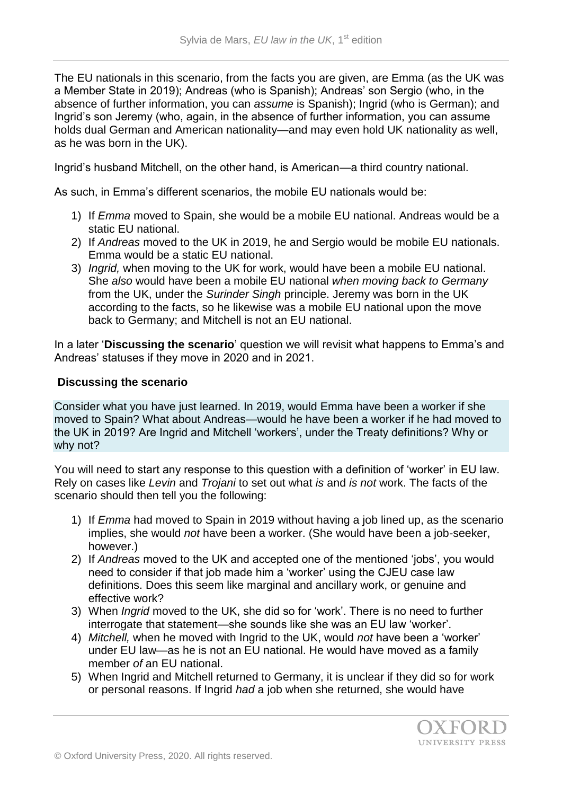The EU nationals in this scenario, from the facts you are given, are Emma (as the UK was a Member State in 2019); Andreas (who is Spanish); Andreas' son Sergio (who, in the absence of further information, you can *assume* is Spanish); Ingrid (who is German); and Ingrid's son Jeremy (who, again, in the absence of further information, you can assume holds dual German and American nationality—and may even hold UK nationality as well, as he was born in the UK).

Ingrid's husband Mitchell, on the other hand, is American—a third country national.

As such, in Emma's different scenarios, the mobile EU nationals would be:

- 1) If *Emma* moved to Spain, she would be a mobile EU national. Andreas would be a static EU national.
- 2) If *Andreas* moved to the UK in 2019, he and Sergio would be mobile EU nationals. Emma would be a static EU national.
- 3) *Ingrid,* when moving to the UK for work, would have been a mobile EU national. She *also* would have been a mobile EU national *when moving back to Germany* from the UK, under the *Surinder Singh* principle. Jeremy was born in the UK according to the facts, so he likewise was a mobile EU national upon the move back to Germany; and Mitchell is not an EU national.

In a later '**Discussing the scenario**' question we will revisit what happens to Emma's and Andreas' statuses if they move in 2020 and in 2021.

## **Discussing the scenario**

Consider what you have just learned. In 2019, would Emma have been a worker if she moved to Spain? What about Andreas—would he have been a worker if he had moved to the UK in 2019? Are Ingrid and Mitchell 'workers', under the Treaty definitions? Why or why not?

You will need to start any response to this question with a definition of 'worker' in EU law. Rely on cases like *Levin* and *Trojani* to set out what *is* and *is not* work. The facts of the scenario should then tell you the following:

- 1) If *Emma* had moved to Spain in 2019 without having a job lined up, as the scenario implies, she would *not* have been a worker. (She would have been a job-seeker, however.)
- 2) If *Andreas* moved to the UK and accepted one of the mentioned 'jobs', you would need to consider if that job made him a 'worker' using the CJEU case law definitions. Does this seem like marginal and ancillary work, or genuine and effective work?
- 3) When *Ingrid* moved to the UK, she did so for 'work'. There is no need to further interrogate that statement—she sounds like she was an EU law 'worker'.
- 4) *Mitchell,* when he moved with Ingrid to the UK, would *not* have been a 'worker' under EU law—as he is not an EU national. He would have moved as a family member *of* an EU national.
- 5) When Ingrid and Mitchell returned to Germany, it is unclear if they did so for work or personal reasons. If Ingrid *had* a job when she returned, she would have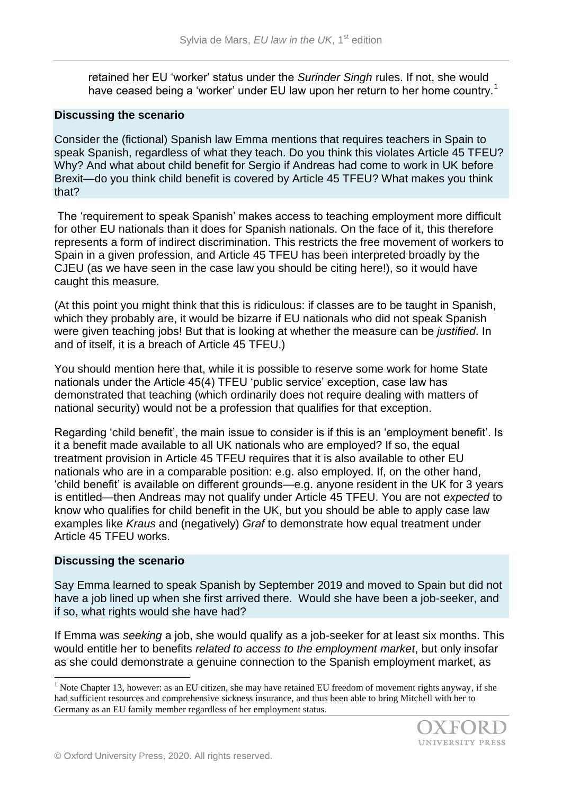retained her EU 'worker' status under the *Surinder Singh* rules. If not, she would have ceased being a 'worker' under EU law upon her return to her home country.<sup>1</sup>

#### **Discussing the scenario**

Consider the (fictional) Spanish law Emma mentions that requires teachers in Spain to speak Spanish, regardless of what they teach. Do you think this violates Article 45 TFEU? Why? And what about child benefit for Sergio if Andreas had come to work in UK before Brexit—do you think child benefit is covered by Article 45 TFEU? What makes you think that?

The 'requirement to speak Spanish' makes access to teaching employment more difficult for other EU nationals than it does for Spanish nationals. On the face of it, this therefore represents a form of indirect discrimination. This restricts the free movement of workers to Spain in a given profession, and Article 45 TFEU has been interpreted broadly by the CJEU (as we have seen in the case law you should be citing here!), so it would have caught this measure.

(At this point you might think that this is ridiculous: if classes are to be taught in Spanish, which they probably are, it would be bizarre if EU nationals who did not speak Spanish were given teaching jobs! But that is looking at whether the measure can be *justified*. In and of itself, it is a breach of Article 45 TFEU.)

You should mention here that, while it is possible to reserve some work for home State nationals under the Article 45(4) TFEU 'public service' exception, case law has demonstrated that teaching (which ordinarily does not require dealing with matters of national security) would not be a profession that qualifies for that exception.

Regarding 'child benefit', the main issue to consider is if this is an 'employment benefit'. Is it a benefit made available to all UK nationals who are employed? If so, the equal treatment provision in Article 45 TFEU requires that it is also available to other EU nationals who are in a comparable position: e.g. also employed. If, on the other hand, 'child benefit' is available on different grounds—e.g. anyone resident in the UK for 3 years is entitled—then Andreas may not qualify under Article 45 TFEU. You are not *expected* to know who qualifies for child benefit in the UK, but you should be able to apply case law examples like *Kraus* and (negatively) *Graf* to demonstrate how equal treatment under Article 45 TFEU works.

#### **Discussing the scenario**

l

Say Emma learned to speak Spanish by September 2019 and moved to Spain but did not have a job lined up when she first arrived there. Would she have been a job-seeker, and if so, what rights would she have had?

If Emma was *seeking* a job, she would qualify as a job-seeker for at least six months. This would entitle her to benefits *related to access to the employment market*, but only insofar as she could demonstrate a genuine connection to the Spanish employment market, as

<sup>&</sup>lt;sup>1</sup> Note Chapter 13, however: as an EU citizen, she may have retained EU freedom of movement rights anyway, if she had sufficient resources and comprehensive sickness insurance, and thus been able to bring Mitchell with her to Germany as an EU family member regardless of her employment status.

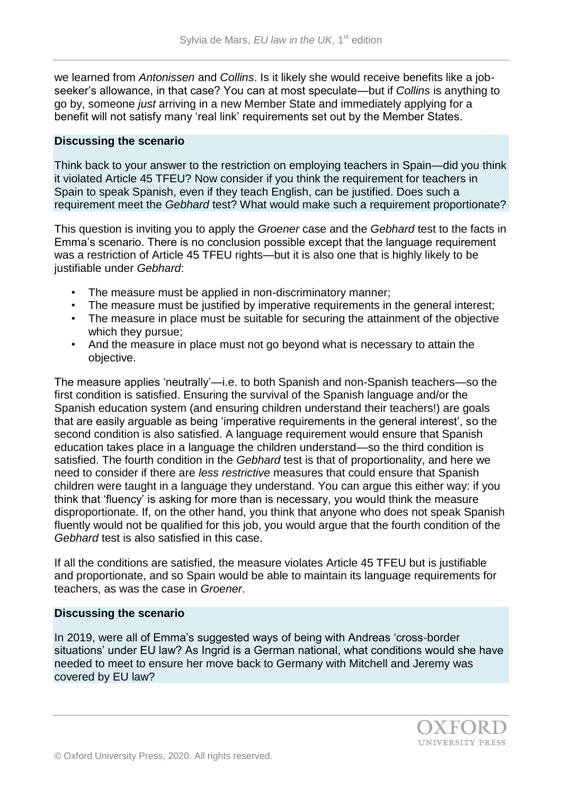we learned from *Antonissen* and *Collins*. Is it likely she would receive benefits like a jobseeker's allowance, in that case? You can at most speculate—but if *Collins* is anything to go by, someone *just* arriving in a new Member State and immediately applying for a benefit will not satisfy many 'real link' requirements set out by the Member States.

#### **Discussing the scenario**

Think back to your answer to the restriction on employing teachers in Spain—did you think it violated Article 45 TFEU? Now consider if you think the requirement for teachers in Spain to speak Spanish, even if they teach English, can be justified. Does such a requirement meet the *Gebhard* test? What would make such a requirement proportionate?

This question is inviting you to apply the *Groener* case and the *Gebhard* test to the facts in Emma's scenario. There is no conclusion possible except that the language requirement was a restriction of Article 45 TFEU rights—but it is also one that is highly likely to be justifiable under *Gebhard*:

- The measure must be applied in non-discriminatory manner;
- The measure must be justified by imperative requirements in the general interest;
- The measure in place must be suitable for securing the attainment of the objective which they pursue;
- And the measure in place must not go beyond what is necessary to attain the objective.

The measure applies 'neutrally'—i.e. to both Spanish and non-Spanish teachers—so the first condition is satisfied. Ensuring the survival of the Spanish language and/or the Spanish education system (and ensuring children understand their teachers!) are goals that are easily arguable as being 'imperative requirements in the general interest', so the second condition is also satisfied. A language requirement would ensure that Spanish education takes place in a language the children understand—so the third condition is satisfied. The fourth condition in the *Gebhard* test is that of proportionality, and here we need to consider if there are *less restrictive* measures that could ensure that Spanish children were taught in a language they understand. You can argue this either way: if you think that 'fluency' is asking for more than is necessary, you would think the measure disproportionate. If, on the other hand, you think that anyone who does not speak Spanish fluently would not be qualified for this job, you would argue that the fourth condition of the *Gebhard* test is also satisfied in this case.

If all the conditions are satisfied, the measure violates Article 45 TFEU but is justifiable and proportionate, and so Spain would be able to maintain its language requirements for teachers, as was the case in *Groener*.

#### **Discussing the scenario**

In 2019, were all of Emma's suggested ways of being with Andreas 'cross-border situations' under EU law? As Ingrid is a German national, what conditions would she have needed to meet to ensure her move back to Germany with Mitchell and Jeremy was covered by EU law?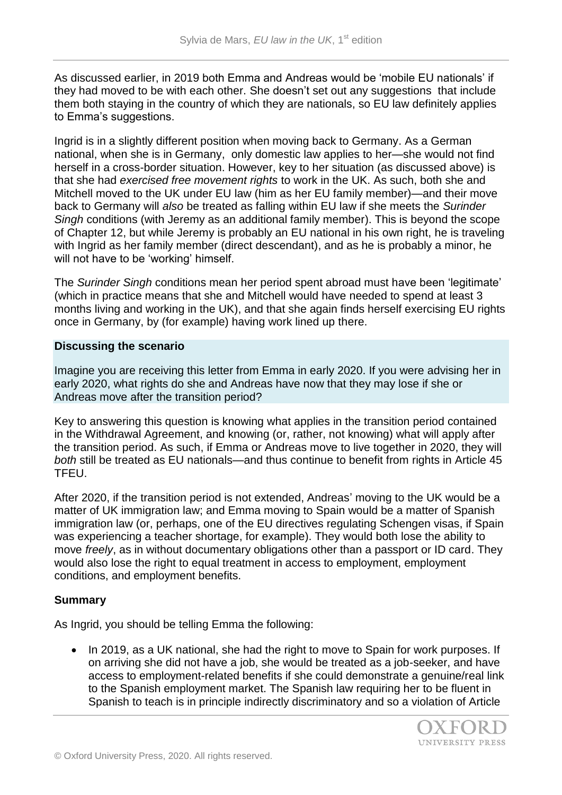As discussed earlier, in 2019 both Emma and Andreas would be 'mobile EU nationals' if they had moved to be with each other. She doesn't set out any suggestions that include them both staying in the country of which they are nationals, so EU law definitely applies to Emma's suggestions.

Ingrid is in a slightly different position when moving back to Germany. As a German national, when she is in Germany, only domestic law applies to her—she would not find herself in a cross-border situation. However, key to her situation (as discussed above) is that she had *exercised free movement rights* to work in the UK. As such, both she and Mitchell moved to the UK under EU law (him as her EU family member)—and their move back to Germany will *also* be treated as falling within EU law if she meets the *Surinder Singh* conditions (with Jeremy as an additional family member). This is beyond the scope of Chapter 12, but while Jeremy is probably an EU national in his own right, he is traveling with Ingrid as her family member (direct descendant), and as he is probably a minor, he will not have to be 'working' himself.

The *Surinder Singh* conditions mean her period spent abroad must have been 'legitimate' (which in practice means that she and Mitchell would have needed to spend at least 3 months living and working in the UK), and that she again finds herself exercising EU rights once in Germany, by (for example) having work lined up there.

#### **Discussing the scenario**

Imagine you are receiving this letter from Emma in early 2020. If you were advising her in early 2020, what rights do she and Andreas have now that they may lose if she or Andreas move after the transition period?

Key to answering this question is knowing what applies in the transition period contained in the Withdrawal Agreement, and knowing (or, rather, not knowing) what will apply after the transition period. As such, if Emma or Andreas move to live together in 2020, they will *both* still be treated as EU nationals—and thus continue to benefit from rights in Article 45 TFEU.

After 2020, if the transition period is not extended, Andreas' moving to the UK would be a matter of UK immigration law; and Emma moving to Spain would be a matter of Spanish immigration law (or, perhaps, one of the EU directives regulating Schengen visas, if Spain was experiencing a teacher shortage, for example). They would both lose the ability to move *freely*, as in without documentary obligations other than a passport or ID card. They would also lose the right to equal treatment in access to employment, employment conditions, and employment benefits.

# **Summary**

As Ingrid, you should be telling Emma the following:

• In 2019, as a UK national, she had the right to move to Spain for work purposes. If on arriving she did not have a job, she would be treated as a job-seeker, and have access to employment-related benefits if she could demonstrate a genuine/real link to the Spanish employment market. The Spanish law requiring her to be fluent in Spanish to teach is in principle indirectly discriminatory and so a violation of Article